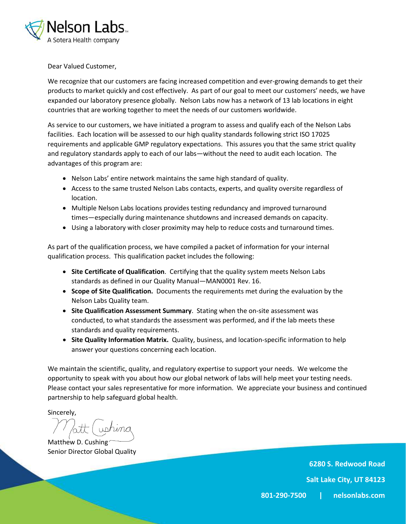

Dear Valued Customer,

We recognize that our customers are facing increased competition and ever-growing demands to get their products to market quickly and cost effectively. As part of our goal to meet our customers' needs, we have expanded our laboratory presence globally. Nelson Labs now has a network of 13 lab locations in eight countries that are working together to meet the needs of our customers worldwide.

As service to our customers, we have initiated a program to assess and qualify each of the Nelson Labs facilities. Each location will be assessed to our high quality standards following strict ISO 17025 requirements and applicable GMP regulatory expectations. This assures you that the same strict quality and regulatory standards apply to each of our labs—without the need to audit each location. The advantages of this program are:

- Nelson Labs' entire network maintains the same high standard of quality.
- Access to the same trusted Nelson Labs contacts, experts, and quality oversite regardless of location.
- Multiple Nelson Labs locations provides testing redundancy and improved turnaround times—especially during maintenance shutdowns and increased demands on capacity.
- Using a laboratory with closer proximity may help to reduce costs and turnaround times.

As part of the qualification process, we have compiled a packet of information for your internal qualification process. This qualification packet includes the following:

- **Site Certificate of Qualification**. Certifying that the quality system meets Nelson Labs standards as defined in our Quality Manual—MAN0001 Rev. 16.
- **Scope of Site Qualification.** Documents the requirements met during the evaluation by the Nelson Labs Quality team.
- **Site Qualification Assessment Summary**. Stating when the on-site assessment was conducted, to what standards the assessment was performed, and if the lab meets these standards and quality requirements.
- **Site Quality Information Matrix.** Quality, business, and location-specific information to help answer your questions concerning each location.

We maintain the scientific, quality, and regulatory expertise to support your needs. We welcome the opportunity to speak with you about how our global network of labs will help meet your testing needs. Please contact your sales representative for more information. We appreciate your business and continued partnership to help safeguard global health.

Sincerely,

Matthew D. Cushing Senior Director Global Quality

**6280 S. Redwood Road**

**Salt Lake City, UT 84123**

**801-290-7500 | nelsonlabs.com**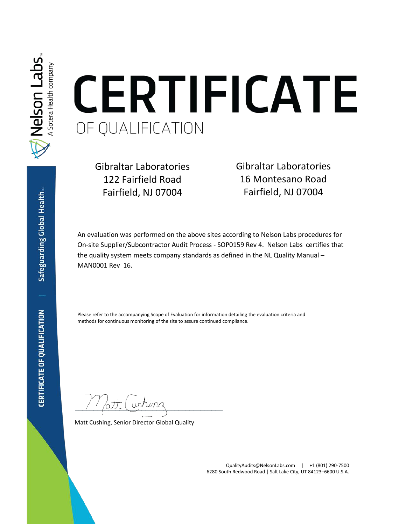

# CERTIFICATE OF QUALIFICATION

Gibraltar Laboratories 122 Fairfield Road Fairfield, NJ 07004

Gibraltar Laboratories 16 Montesano Road Fairfield, NJ 07004

An evaluation was performed on the above sites according to Nelson Labs procedures for On-site Supplier/Subcontractor Audit Process - SOP0159 Rev 4. Nelson Labs certifies that the quality system meets company standards as defined in the NL Quality Manual – MAN0001 Rev 16.

Please refer to the accompanying Scope of Evaluation for information detailing the evaluation criteria and methods for continuous monitoring of the site to assure continued compliance.

 $u$ tushina

Matt Cushing, Senior Director Global Quality

QualityAudits@NelsonLabs.com | +1 (801) 290-7500 6280 South Redwood Road | Salt Lake City, UT 84123–6600 U.S.A.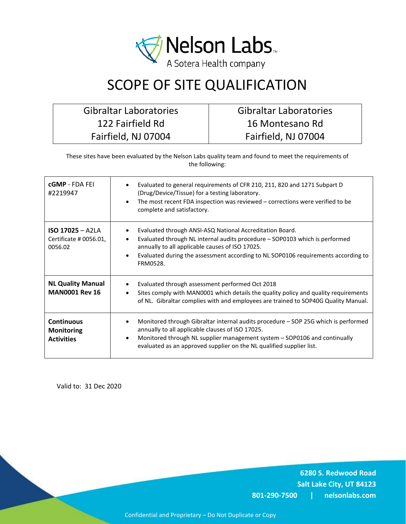

## SCOPE OF SITE QUALIFICATION

Gibraltar Laboratories 122 Fairfield Rd Fairfield, NJ 07004

Gibraltar Laboratories 16 Montesano Rd Fairfield, NJ 07004

These sites have been evaluated by the Nelson Labs quality team and found to meet the requirements of the following:

| <b>cGMP</b> - FDA FEI<br>#2219947                           | Evaluated to general requirements of CFR 210, 211, 820 and 1271 Subpart D<br>(Drug/Device/Tissue) for a testing laboratory.<br>The most recent FDA inspection was reviewed – corrections were verified to be<br>complete and satisfactory.                                                  |
|-------------------------------------------------------------|---------------------------------------------------------------------------------------------------------------------------------------------------------------------------------------------------------------------------------------------------------------------------------------------|
| $ISO$ 17025 - A2LA<br>Certificate # 0056.01,<br>0056.02     | Evaluated through ANSI-ASQ National Accreditation Board.<br>Evaluated through NL internal audits procedure - SOP0103 which is performed<br>annually to all applicable causes of ISO 17025.<br>Evaluated during the assessment according to NL SOP0106 requirements according to<br>FRM0528. |
| <b>NL Quality Manual</b><br><b>MAN0001 Rev 16</b>           | Evaluated through assessment performed Oct 2018<br>Sites comply with MAN0001 which details the quality policy and quality requirements<br>of NL. Gibraltar complies with and employees are trained to SOP40G Quality Manual.                                                                |
| <b>Continuous</b><br><b>Monitoring</b><br><b>Activities</b> | Monitored through Gibraltar internal audits procedure – SOP 25G which is performed<br>annually to all applicable clauses of ISO 17025.<br>Monitored through NL supplier management system - SOP0106 and continually<br>evaluated as an approved supplier on the NL qualified supplier list. |

Valid to: 31 Dec 2020

**6280 S. Redwood Road Salt Lake City, UT 84123 801-290-7500 | nelsonlabs.com**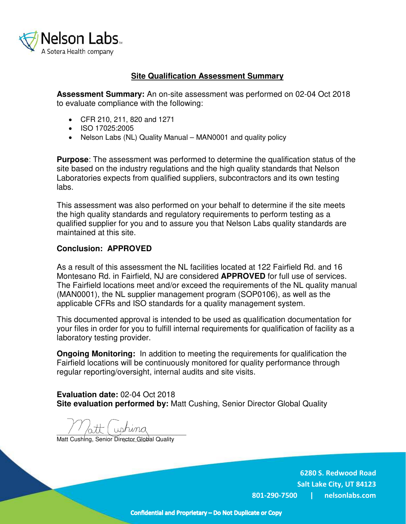

#### **Site Qualification Assessment Summary**

**Assessment Summary:** An on-site assessment was performed on 02-04 Oct 2018 to evaluate compliance with the following:

- CFR 210, 211, 820 and 1271
- ISO 17025:2005
- Nelson Labs (NL) Quality Manual MAN0001 and quality policy

**Purpose**: The assessment was performed to determine the qualification status of the site based on the industry regulations and the high quality standards that Nelson Laboratories expects from qualified suppliers, subcontractors and its own testing labs.

This assessment was also performed on your behalf to determine if the site meets the high quality standards and regulatory requirements to perform testing as a qualified supplier for you and to assure you that Nelson Labs quality standards are maintained at this site.

#### **Conclusion: APPROVED**

As a result of this assessment the NL facilities located at 122 Fairfield Rd. and 16 Montesano Rd. in Fairfield, NJ are considered **APPROVED** for full use of services. The Fairfield locations meet and/or exceed the requirements of the NL quality manual (MAN0001), the NL supplier management program (SOP0106), as well as the applicable CFRs and ISO standards for a quality management system.

This documented approval is intended to be used as qualification documentation for your files in order for you to fulfill internal requirements for qualification of facility as a laboratory testing provider.

**Ongoing Monitoring:** In addition to meeting the requirements for qualification the Fairfield locations will be continuously monitored for quality performance through regular reporting/oversight, internal audits and site visits.

**Evaluation date:** 02-04 Oct 2018 **Site evaluation performed by:** Matt Cushing, Senior Director Global Quality

 $\frac{1}{2}$   $\frac{1}{2}$   $\frac{1}{2}$   $\frac{1}{2}$   $\frac{1}{2}$ 

Matt Cushing, Senior Director Global Quality

**6280 S. Redwood Road Salt Lake City, UT 84123 801-290-7500 | nelsonlabs.com**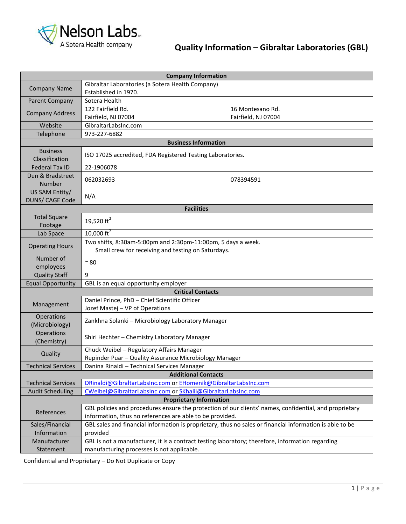

### **Quality Information – Gibraltar Laboratories (GBL)**

| <b>Company Information</b>        |                                                                                                                                                                    |                     |  |  |
|-----------------------------------|--------------------------------------------------------------------------------------------------------------------------------------------------------------------|---------------------|--|--|
| <b>Company Name</b>               | Gibraltar Laboratories (a Sotera Health Company)                                                                                                                   |                     |  |  |
|                                   | Established in 1970.                                                                                                                                               |                     |  |  |
| Parent Company                    | Sotera Health                                                                                                                                                      |                     |  |  |
| <b>Company Address</b>            | 122 Fairfield Rd.                                                                                                                                                  | 16 Montesano Rd.    |  |  |
|                                   | Fairfield, NJ 07004                                                                                                                                                | Fairfield, NJ 07004 |  |  |
| Website                           | GibraltarLabsInc.com                                                                                                                                               |                     |  |  |
| Telephone                         | 973-227-6882                                                                                                                                                       |                     |  |  |
|                                   | <b>Business Information</b>                                                                                                                                        |                     |  |  |
| <b>Business</b><br>Classification | ISO 17025 accredited, FDA Registered Testing Laboratories.                                                                                                         |                     |  |  |
| <b>Federal Tax ID</b>             | 22-1906078                                                                                                                                                         |                     |  |  |
| Dun & Bradstreet<br>Number        | 062032693                                                                                                                                                          | 078394591           |  |  |
| US SAM Entity/<br>DUNS/ CAGE Code | N/A                                                                                                                                                                |                     |  |  |
|                                   | <b>Facilities</b>                                                                                                                                                  |                     |  |  |
| <b>Total Square</b><br>Footage    | 19,520 $ft^2$                                                                                                                                                      |                     |  |  |
| Lab Space                         | 10,000 $\text{ft}^2$                                                                                                                                               |                     |  |  |
| <b>Operating Hours</b>            | Two shifts, 8:30am-5:00pm and 2:30pm-11:00pm, 5 days a week.<br>Small crew for receiving and testing on Saturdays.                                                 |                     |  |  |
| Number of                         |                                                                                                                                                                    |                     |  |  |
| employees                         | $\sim80$                                                                                                                                                           |                     |  |  |
| <b>Quality Staff</b>              | 9                                                                                                                                                                  |                     |  |  |
| <b>Equal Opportunity</b>          | GBL is an equal opportunity employer                                                                                                                               |                     |  |  |
|                                   | <b>Critical Contacts</b>                                                                                                                                           |                     |  |  |
| Management                        | Daniel Prince, PhD - Chief Scientific Officer<br>Jozef Mastej - VP of Operations                                                                                   |                     |  |  |
| Operations<br>(Microbiology)      | Zankhna Solanki - Microbiology Laboratory Manager                                                                                                                  |                     |  |  |
| Operations<br>(Chemistry)         | Shiri Hechter - Chemistry Laboratory Manager                                                                                                                       |                     |  |  |
|                                   | Chuck Weibel - Regulatory Affairs Manager                                                                                                                          |                     |  |  |
| Quality                           | Rupinder Puar - Quality Assurance Microbiology Manager                                                                                                             |                     |  |  |
| <b>Technical Services</b>         | Danina Rinaldi - Technical Services Manager                                                                                                                        |                     |  |  |
|                                   | <b>Additional Contacts</b>                                                                                                                                         |                     |  |  |
| <b>Technical Services</b>         | DRinaldi@GibraltarLabsInc.com or EHomenik@GibraltarLabsInc.com                                                                                                     |                     |  |  |
| <b>Audit Scheduling</b>           | CWeibel@GibraltarLabsInc.com or SKhalil@GibraltarLabsInc.com                                                                                                       |                     |  |  |
|                                   | <b>Proprietary Information</b>                                                                                                                                     |                     |  |  |
| References                        | GBL policies and procedures ensure the protection of our clients' names, confidential, and proprietary<br>information, thus no references are able to be provided. |                     |  |  |
| Sales/Financial                   | GBL sales and financial information is proprietary, thus no sales or financial information is able to be                                                           |                     |  |  |
| Information                       | provided                                                                                                                                                           |                     |  |  |
| Manufacturer                      | GBL is not a manufacturer, it is a contract testing laboratory; therefore, information regarding                                                                   |                     |  |  |
| Statement                         | manufacturing processes is not applicable.                                                                                                                         |                     |  |  |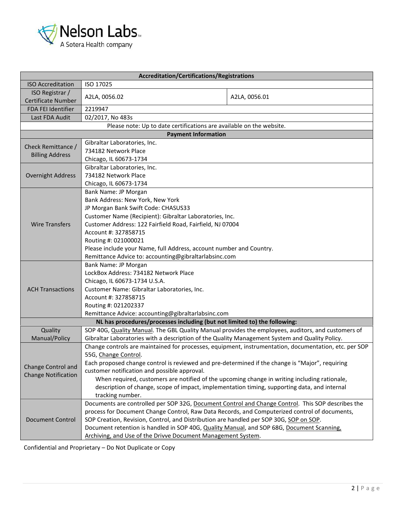

| Accreditation/Certifications/Registrations |                                                                                                                                                                                     |                                                                                                       |  |  |
|--------------------------------------------|-------------------------------------------------------------------------------------------------------------------------------------------------------------------------------------|-------------------------------------------------------------------------------------------------------|--|--|
| <b>ISO Accreditation</b>                   | ISO 17025                                                                                                                                                                           |                                                                                                       |  |  |
| ISO Registrar /                            |                                                                                                                                                                                     |                                                                                                       |  |  |
| Certificate Number                         | A2LA, 0056.02                                                                                                                                                                       | A2LA, 0056.01                                                                                         |  |  |
| FDA FEI Identifier                         | 2219947                                                                                                                                                                             |                                                                                                       |  |  |
| Last FDA Audit                             | 02/2017, No 483s                                                                                                                                                                    |                                                                                                       |  |  |
|                                            | Please note: Up to date certifications are available on the website.                                                                                                                |                                                                                                       |  |  |
|                                            | <b>Payment Information</b>                                                                                                                                                          |                                                                                                       |  |  |
| Check Remittance /                         | Gibraltar Laboratories, Inc.                                                                                                                                                        |                                                                                                       |  |  |
| <b>Billing Address</b>                     | 734182 Network Place                                                                                                                                                                |                                                                                                       |  |  |
|                                            | Chicago, IL 60673-1734                                                                                                                                                              |                                                                                                       |  |  |
|                                            | Gibraltar Laboratories, Inc.                                                                                                                                                        |                                                                                                       |  |  |
| <b>Overnight Address</b>                   | 734182 Network Place                                                                                                                                                                |                                                                                                       |  |  |
|                                            | Chicago, IL 60673-1734                                                                                                                                                              |                                                                                                       |  |  |
|                                            | Bank Name: JP Morgan                                                                                                                                                                |                                                                                                       |  |  |
|                                            | Bank Address: New York, New York                                                                                                                                                    |                                                                                                       |  |  |
|                                            | JP Morgan Bank Swift Code: CHASUS33                                                                                                                                                 |                                                                                                       |  |  |
|                                            | Customer Name (Recipient): Gibraltar Laboratories, Inc.                                                                                                                             |                                                                                                       |  |  |
| <b>Wire Transfers</b>                      | Customer Address: 122 Fairfield Road, Fairfield, NJ 07004                                                                                                                           |                                                                                                       |  |  |
|                                            | Account #: 327858715                                                                                                                                                                |                                                                                                       |  |  |
|                                            | Routing #: 021000021                                                                                                                                                                |                                                                                                       |  |  |
|                                            | Please include your Name, full Address, account number and Country.                                                                                                                 |                                                                                                       |  |  |
|                                            | Remittance Advice to: accounting@gibraltarlabsinc.com                                                                                                                               |                                                                                                       |  |  |
|                                            | Bank Name: JP Morgan                                                                                                                                                                |                                                                                                       |  |  |
|                                            | LockBox Address: 734182 Network Place                                                                                                                                               |                                                                                                       |  |  |
|                                            | Chicago, IL 60673-1734 U.S.A.                                                                                                                                                       |                                                                                                       |  |  |
| <b>ACH Transactions</b>                    | Customer Name: Gibraltar Laboratories, Inc.                                                                                                                                         |                                                                                                       |  |  |
|                                            | Account #: 327858715                                                                                                                                                                |                                                                                                       |  |  |
|                                            | Routing #: 021202337                                                                                                                                                                |                                                                                                       |  |  |
|                                            | Remittance Advice: accounting@gibraltarlabsinc.com                                                                                                                                  |                                                                                                       |  |  |
|                                            | NL has procedures/processes including (but not limited to) the following:                                                                                                           |                                                                                                       |  |  |
| Quality                                    | SOP 40G, Quality Manual. The GBL Quality Manual provides the employees, auditors, and customers of                                                                                  |                                                                                                       |  |  |
| Manual/Policy                              | Gibraltar Laboratories with a description of the Quality Management System and Quality Policy.                                                                                      |                                                                                                       |  |  |
|                                            |                                                                                                                                                                                     | Change controls are maintained for processes, equipment, instrumentation, documentation, etc. per SOP |  |  |
|                                            | 55G, Change Control.                                                                                                                                                                |                                                                                                       |  |  |
| Change Control and                         | Each proposed change control is reviewed and pre-determined if the change is "Major", requiring                                                                                     |                                                                                                       |  |  |
| <b>Change Notification</b>                 | customer notification and possible approval.                                                                                                                                        |                                                                                                       |  |  |
|                                            | When required, customers are notified of the upcoming change in writing including rationale,                                                                                        |                                                                                                       |  |  |
|                                            | description of change, scope of impact, implementation timing, supporting data, and internal                                                                                        |                                                                                                       |  |  |
|                                            | tracking number.                                                                                                                                                                    |                                                                                                       |  |  |
| <b>Document Control</b>                    | Documents are controlled per SOP 32G, Document Control and Change Control. This SOP describes the                                                                                   |                                                                                                       |  |  |
|                                            | process for Document Change Control, Raw Data Records, and Computerized control of documents,                                                                                       |                                                                                                       |  |  |
|                                            | SOP Creation, Revision, Control, and Distribution are handled per SOP 30G, SOP on SOP.<br>Document retention is handled in SOP 40G, Quality Manual, and SOP 68G, Document Scanning, |                                                                                                       |  |  |
|                                            |                                                                                                                                                                                     |                                                                                                       |  |  |
|                                            | Archiving, and Use of the Drivve Document Management System.                                                                                                                        |                                                                                                       |  |  |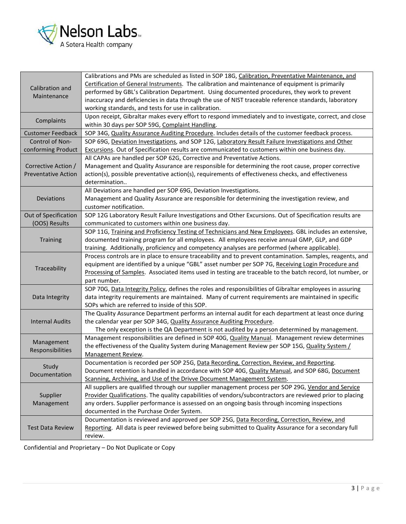

| Calibration and<br>Maintenance | Calibrations and PMs are scheduled as listed in SOP 18G, Calibration, Preventative Maintenance, and<br>Certification of General Instruments. The calibration and maintenance of equipment is primarily              |  |  |
|--------------------------------|---------------------------------------------------------------------------------------------------------------------------------------------------------------------------------------------------------------------|--|--|
|                                | performed by GBL's Calibration Department. Using documented procedures, they work to prevent<br>inaccuracy and deficiencies in data through the use of NIST traceable reference standards, laboratory               |  |  |
| Complaints                     | working standards, and tests for use in calibration.<br>Upon receipt, Gibraltar makes every effort to respond immediately and to investigate, correct, and close<br>within 30 days per SOP 59G, Complaint Handling. |  |  |
| <b>Customer Feedback</b>       | SOP 34G, Quality Assurance Auditing Procedure. Includes details of the customer feedback process.                                                                                                                   |  |  |
| Control of Non-                | SOP 69G, Deviation Investigations, and SOP 12G, Laboratory Result Failure Investigations and Other                                                                                                                  |  |  |
| conforming Product             | Excursions. Out of Specification results are communicated to customers within one business day.                                                                                                                     |  |  |
|                                | All CAPAs are handled per SOP 62G, Corrective and Preventative Actions.                                                                                                                                             |  |  |
| Corrective Action /            | Management and Quality Assurance are responsible for determining the root cause, proper corrective                                                                                                                  |  |  |
| <b>Preventative Action</b>     | action(s), possible preventative action(s), requirements of effectiveness checks, and effectiveness<br>determination                                                                                                |  |  |
|                                | All Deviations are handled per SOP 69G, Deviation Investigations.                                                                                                                                                   |  |  |
| Deviations                     | Management and Quality Assurance are responsible for determining the investigation review, and<br>customer notification.                                                                                            |  |  |
| Out of Specification           | SOP 12G Laboratory Result Failure Investigations and Other Excursions. Out of Specification results are                                                                                                             |  |  |
| (OOS) Results                  | communicated to customers within one business day.                                                                                                                                                                  |  |  |
|                                | SOP 11G, Training and Proficiency Testing of Technicians and New Employees. GBL includes an extensive,                                                                                                              |  |  |
| Training                       | documented training program for all employees. All employees receive annual GMP, GLP, and GDP                                                                                                                       |  |  |
|                                | training. Additionally, proficiency and competency analyses are performed (where applicable).                                                                                                                       |  |  |
|                                | Process controls are in place to ensure traceability and to prevent contamination. Samples, reagents, and                                                                                                           |  |  |
| Traceability                   | equipment are identified by a unique "GBL" asset number per SOP 7G, Receiving Login Procedure and                                                                                                                   |  |  |
|                                | Processing of Samples. Associated items used in testing are traceable to the batch record, lot number, or                                                                                                           |  |  |
|                                | part number.                                                                                                                                                                                                        |  |  |
|                                | SOP 70G, Data Integrity Policy, defines the roles and responsibilities of Gibraltar employees in assuring                                                                                                           |  |  |
| Data Integrity                 | data integrity requirements are maintained. Many of current requirements are maintained in specific<br>SOPs which are referred to inside of this SOP.                                                               |  |  |
|                                | The Quality Assurance Department performs an internal audit for each department at least once during                                                                                                                |  |  |
| <b>Internal Audits</b>         | the calendar year per SOP 34G, Quality Assurance Auditing Procedure.                                                                                                                                                |  |  |
|                                | The only exception is the QA Department is not audited by a person determined by management.                                                                                                                        |  |  |
| Management                     | Management responsibilities are defined in SOP 40G, Quality Manual. Management review determines                                                                                                                    |  |  |
| Responsibilities               | the effectiveness of the Quality System during Management Review per SOP 15G, Quality System /                                                                                                                      |  |  |
|                                | Management Review.                                                                                                                                                                                                  |  |  |
| Study                          | Documentation is recorded per SOP 25G, Data Recording, Correction, Review, and Reporting.                                                                                                                           |  |  |
| Documentation                  | Document retention is handled in accordance with SOP 40G, Quality Manual, and SOP 68G, Document                                                                                                                     |  |  |
|                                | Scanning, Archiving, and Use of the Drivve Document Management System.                                                                                                                                              |  |  |
| Supplier<br>Management         | All suppliers are qualified through our supplier management process per SOP 29G, Vendor and Service                                                                                                                 |  |  |
|                                | Provider Qualifications. The quality capabilities of vendors/subcontractors are reviewed prior to placing                                                                                                           |  |  |
|                                | any orders. Supplier performance is assessed on an ongoing basis through incoming inspections                                                                                                                       |  |  |
|                                | documented in the Purchase Order System.<br>Documentation is reviewed and approved per SOP 25G, Data Recording, Correction, Review, and                                                                             |  |  |
| <b>Test Data Review</b>        | Reporting. All data is peer reviewed before being submitted to Quality Assurance for a secondary full                                                                                                               |  |  |
|                                | review.                                                                                                                                                                                                             |  |  |
|                                |                                                                                                                                                                                                                     |  |  |